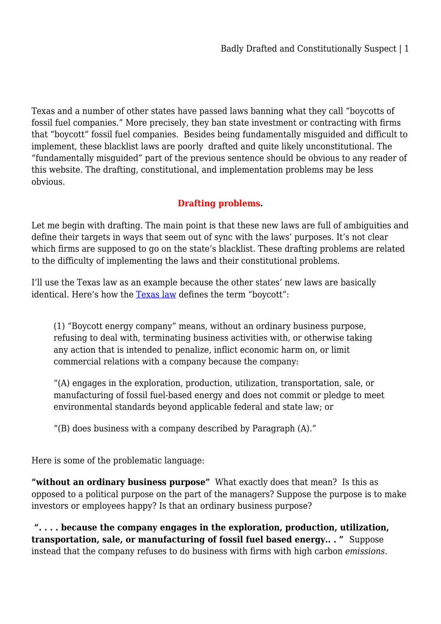Texas and a number of other states have passed laws banning what they call "boycotts of fossil fuel companies." More precisely, they ban state investment or contracting with firms that "boycott" fossil fuel companies. Besides being fundamentally misguided and difficult to implement, these blacklist laws are poorly drafted and quite likely unconstitutional. The "fundamentally misguided" part of the previous sentence should be obvious to any reader of this website. The drafting, constitutional, and implementation problems may be less obvious.

## **Drafting problems.**

Let me begin with drafting. The main point is that these new laws are full of ambiguities and define their targets in ways that seem out of sync with the laws' purposes. It's not clear which firms are supposed to go on the state's blacklist. These drafting problems are related to the difficulty of implementing the laws and their constitutional problems.

I'll use the Texas law as an example because the other states' new laws are basically identical. Here's how the [Texas law](https://capitol.texas.gov/tlodocs/87R/billtext/pdf/SB00013F.pdf#navpanes=0) defines the term "boycott":

(1) "Boycott energy company" means, without an ordinary business purpose, refusing to deal with, terminating business activities with, or otherwise taking any action that is intended to penalize, inflict economic harm on, or limit commercial relations with a company because the company:

"(A) engages in the exploration, production, utilization, transportation, sale, or manufacturing of fossil fuel-based energy and does not commit or pledge to meet environmental standards beyond applicable federal and state law; or

"(B) does business with a company described by Paragraph (A)."

Here is some of the problematic language:

**"without an ordinary business purpose"** What exactly does that mean? Is this as opposed to a political purpose on the part of the managers? Suppose the purpose is to make investors or employees happy? Is that an ordinary business purpose?

 **". . . . because the company engages in the exploration, production, utilization, transportation, sale, or manufacturing of fossil fuel based energy.. . "** Suppose instead that the company refuses to do business with firms with high carbon *emissions*.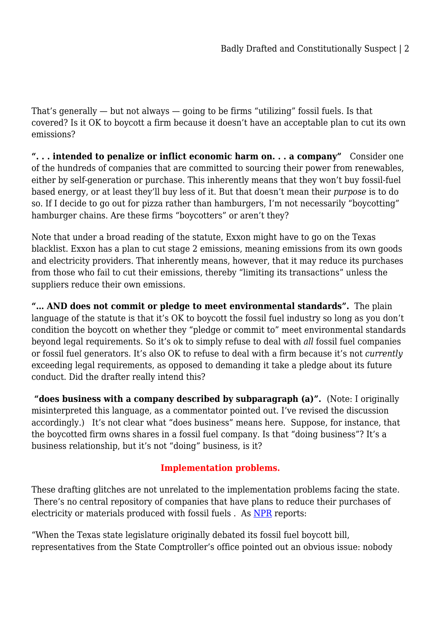That's generally — but not always — going to be firms "utilizing" fossil fuels. Is that covered? Is it OK to boycott a firm because it doesn't have an acceptable plan to cut its own emissions?

**". . . intended to penalize or inflict economic harm on. . . a company"** Consider one of the hundreds of companies that are committed to sourcing their power from renewables, either by self-generation or purchase. This inherently means that they won't buy fossil-fuel based energy, or at least they'll buy less of it. But that doesn't mean their *purpose* is to do so. If I decide to go out for pizza rather than hamburgers, I'm not necessarily "boycotting" hamburger chains. Are these firms "boycotters" or aren't they?

Note that under a broad reading of the statute, Exxon might have to go on the Texas blacklist. Exxon has a plan to cut stage 2 emissions, meaning emissions from its own goods and electricity providers. That inherently means, however, that it may reduce its purchases from those who fail to cut their emissions, thereby "limiting its transactions" unless the suppliers reduce their own emissions.

**"… AND does not commit or pledge to meet environmental standards".** The plain language of the statute is that it's OK to boycott the fossil fuel industry so long as you don't condition the boycott on whether they "pledge or commit to" meet environmental standards beyond legal requirements. So it's ok to simply refuse to deal with *all* fossil fuel companies or fossil fuel generators. It's also OK to refuse to deal with a firm because it's not *currently* exceeding legal requirements, as opposed to demanding it take a pledge about its future conduct. Did the drafter really intend this?

 **"does business with a company described by subparagraph (a)".** (Note: I originally misinterpreted this language, as a commentator pointed out. I've revised the discussion accordingly.) It's not clear what "does business" means here. Suppose, for instance, that the boycotted firm owns shares in a fossil fuel company. Is that "doing business"? It's a business relationship, but it's not "doing" business, is it?

## **Implementation problems.**

These drafting glitches are not unrelated to the implementation problems facing the state. There's no central repository of companies that have plans to reduce their purchases of electricity or materials produced with fossil fuels . As [NPR](https://www.npr.org/2022/04/29/1095137650/texas-stumbles-in-its-effort-to-punish-green-financial-firms) reports:

"When the Texas state legislature originally debated its fossil fuel boycott bill, representatives from the State Comptroller's office pointed out an obvious issue: nobody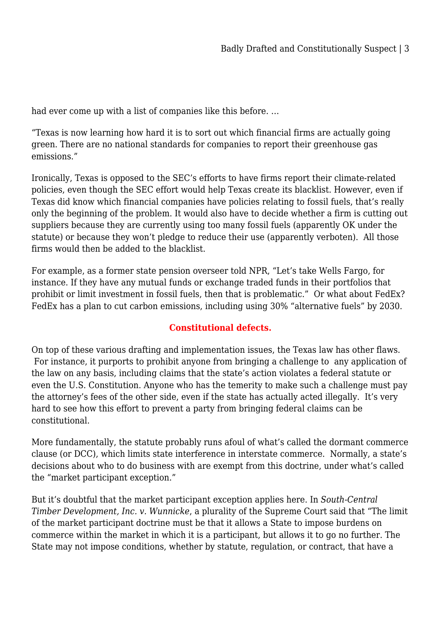had ever come up with a list of companies like this before. …

"Texas is now learning how hard it is to sort out which financial firms are actually going green. There are no national standards for companies to report their greenhouse gas emissions."

Ironically, Texas is opposed to the SEC's efforts to have firms report their climate-related policies, even though the SEC effort would help Texas create its blacklist. However, even if Texas did know which financial companies have policies relating to fossil fuels, that's really only the beginning of the problem. It would also have to decide whether a firm is cutting out suppliers because they are currently using too many fossil fuels (apparently OK under the statute) or because they won't pledge to reduce their use (apparently verboten). All those firms would then be added to the blacklist.

For example, as a former state pension overseer told NPR, "Let's take Wells Fargo, for instance. If they have any mutual funds or exchange traded funds in their portfolios that prohibit or limit investment in fossil fuels, then that is problematic." Or what about FedEx? FedEx has a plan to cut carbon emissions, including using 30% "alternative fuels" by 2030.

## **Constitutional defects.**

On top of these various drafting and implementation issues, the Texas law has other flaws. For instance, it purports to prohibit anyone from bringing a challenge to any application of the law on any basis, including claims that the state's action violates a federal statute or even the U.S. Constitution. Anyone who has the temerity to make such a challenge must pay the attorney's fees of the other side, even if the state has actually acted illegally. It's very hard to see how this effort to prevent a party from bringing federal claims can be constitutional.

More fundamentally, the statute probably runs afoul of what's called the dormant commerce clause (or DCC), which limits state interference in interstate commerce. Normally, a state's decisions about who to do business with are exempt from this doctrine, under what's called the "market participant exception."

But it's doubtful that the market participant exception applies here. In *South-Central Timber Development, Inc. v. Wunnicke*, a plurality of the Supreme Court said that "The limit of the market participant doctrine must be that it allows a State to impose burdens on commerce within the market in which it is a participant, but allows it to go no further. The State may not impose conditions, whether by statute, regulation, or contract, that have a